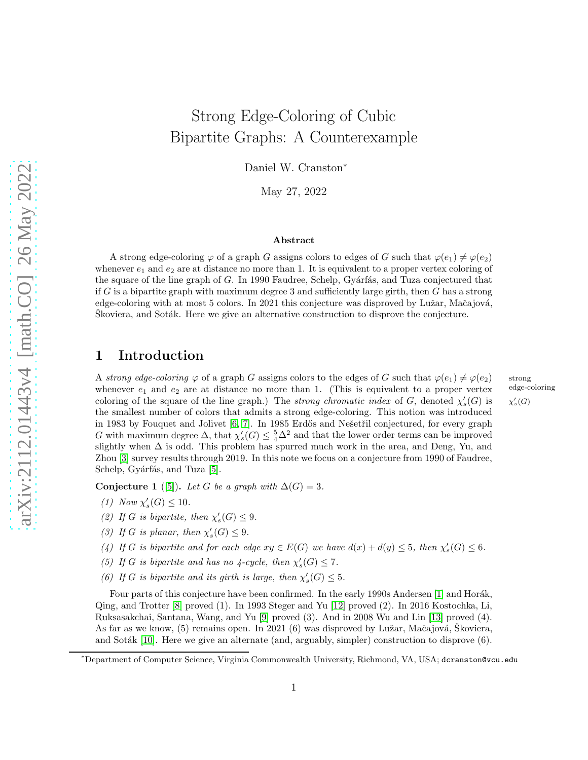# Strong Edge-Coloring of Cubic Bipartite Graphs: A Counterexample

Daniel W. Cranston<sup>∗</sup>

May 27, 2022

#### Abstract

A strong edge-coloring  $\varphi$  of a graph G assigns colors to edges of G such that  $\varphi(e_1) \neq \varphi(e_2)$ whenever  $e_1$  and  $e_2$  are at distance no more than 1. It is equivalent to a proper vertex coloring of the square of the line graph of  $G$ . In 1990 Faudree, Schelp, Gyárfás, and Tuza conjectured that if G is a bipartite graph with maximum degree 3 and sufficiently large girth, then G has a strong edge-coloring with at most 5 colors. In 2021 this conjecture was disproved by Lužar, Mačajová, Skoviera, and Sotak. Here we give an alternative construction to disprove the conjecture.

# 1 Introduction

A strong edge-coloring  $\varphi$  of a graph G assigns colors to the edges of G such that  $\varphi(e_1) \neq \varphi(e_2)$  strong whenever  $e_1$  and  $e_2$  are at distance no more than 1. (This is equivalent to a proper vertex coloring of the square of the line graph.) The *strong chromatic index* of G, denoted  $\chi'_{s}(G)$  is  $\chi'_{s}(G)$ is  $\chi'_{s}(G)$ the smallest number of colors that admits a strong edge-coloring. This notion was introduced in 1983 by Fouquet and Jolivet [\[6,](#page-3-0) [7\]](#page-3-1). In 1985 Erdős and Nešetřil conjectured, for every graph G with maximum degree  $\Delta$ , that  $\chi'_{s}(G) \leq \frac{5}{4}\Delta^2$  and that the lower order terms can be improved slightly when  $\Delta$  is odd. This problem has spurred much work in the area, and Deng, Yu, and Zhou [\[3\]](#page-3-2) survey results through 2019. In this note we focus on a conjecture from 1990 of Faudree, Schelp, Gyárfás, and Tuza [\[5\]](#page-3-3).

edge-coloring

<span id="page-0-0"></span>Conjecture 1 ([\[5\]](#page-3-3)). Let G be a graph with  $\Delta(G) = 3$ .

- (1) Now  $\chi_{s}'(G) \leq 10$ .
- (2) If G is bipartite, then  $\chi'_{s}(G) \leq 9$ .
- (3) If G is planar, then  $\chi'_{s}(G) \leq 9$ .
- (4) If G is bipartite and for each edge  $xy \in E(G)$  we have  $d(x) + d(y) \le 5$ , then  $\chi'_{s}(G) \le 6$ .
- (5) If G is bipartite and has no 4-cycle, then  $\chi'_{s}(G) \leq 7$ .
- (6) If G is bipartite and its girth is large, then  $\chi'_{s}(G) \leq 5$ .

Four parts of this conjecture have been confirmed. In the early 1990s Andersen [\[1\]](#page-2-0) and Horák, Qing, and Trotter [\[8\]](#page-3-4) proved (1). In 1993 Steger and Yu [\[12\]](#page-3-5) proved (2). In 2016 Kostochka, Li, Ruksasakchai, Santana, Wang, and Yu [\[9\]](#page-3-6) proved (3). And in 2008 Wu and Lin [\[13\]](#page-3-7) proved (4). As far as we know, (5) remains open. In 2021 (6) was disproved by Lužar, Mačajová, Škoviera, and Soták [\[10\]](#page-3-8). Here we give an alternate (and, arguably, simpler) construction to disprove  $(6)$ .

<sup>∗</sup>Department of Computer Science, Virginia Commonwealth University, Richmond, VA, USA; dcranston@vcu.edu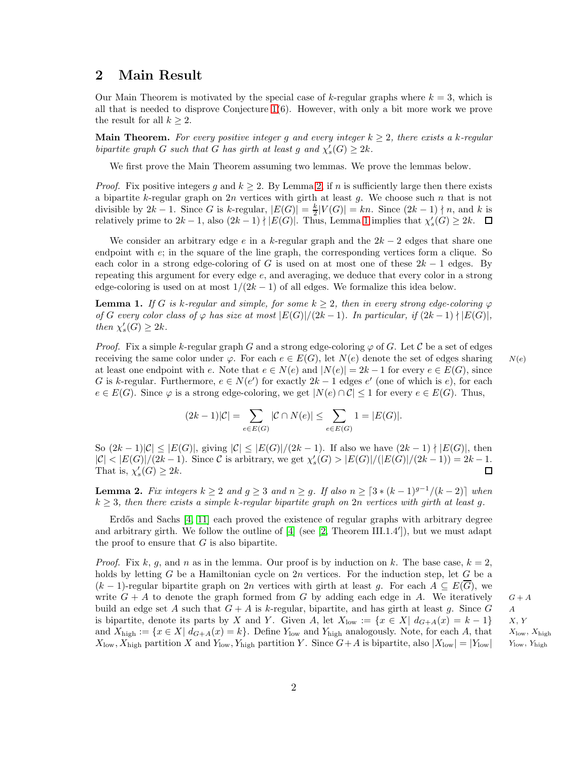# 2 Main Result

Our Main Theorem is motivated by the special case of k-regular graphs where  $k = 3$ , which is all that is needed to disprove Conjecture  $1(6)$ . However, with only a bit more work we prove the result for all  $k \geq 2$ .

**Main Theorem.** For every positive integer g and every integer  $k \geq 2$ , there exists a k-regular bipartite graph G such that G has girth at least g and  $\chi'_{s}(G) \geq 2k$ .

We first prove the Main Theorem assuming two lemmas. We prove the lemmas below.

*Proof.* Fix positive integers g and  $k \geq 2$ . By Lemma [2,](#page-1-0) if n is sufficiently large then there exists a bipartite k-regular graph on  $2n$  vertices with girth at least g. We choose such n that is not divisible by  $2k - 1$ . Since G is k-regular,  $|E(G)| = \frac{k}{2}|V(G)| = kn$ . Since  $(2k - 1) \nmid n$ , and k is relatively prime to  $2k-1$ , also  $(2k-1) \nmid |E(G)|$ . Thus, Lemma [1](#page-1-1) implies that  $\chi'_{s}(G) \geq 2k$ .

We consider an arbitrary edge e in a k-regular graph and the  $2k-2$  edges that share one endpoint with  $e$ ; in the square of the line graph, the corresponding vertices form a clique. So each color in a strong edge-coloring of G is used on at most one of these  $2k - 1$  edges. By repeating this argument for every edge e, and averaging, we deduce that every color in a strong edge-coloring is used on at most  $1/(2k-1)$  of all edges. We formalize this idea below.

<span id="page-1-1"></span>**Lemma 1.** If G is k-regular and simple, for some  $k \geq 2$ , then in every strong edge-coloring  $\varphi$ of G every color class of  $\varphi$  has size at most  $|E(G)|/(2k-1)$ . In particular, if  $(2k-1)$   $\mid$   $|E(G)|$ , then  $\chi'_{s}(G) \geq 2k$ .

*Proof.* Fix a simple k-regular graph G and a strong edge-coloring  $\varphi$  of G. Let C be a set of edges receiving the same color under  $\varphi$ . For each  $e \in E(G)$ , let  $N(e)$  denote the set of edges sharing  $N(e)$ at least one endpoint with e. Note that  $e \in N(e)$  and  $|N(e)| = 2k - 1$  for every  $e \in E(G)$ , since G is k-regular. Furthermore,  $e \in N(e')$  for exactly  $2k-1$  edges  $e'$  (one of which is  $e$ ), for each  $e \in E(G)$ . Since  $\varphi$  is a strong edge-coloring, we get  $|N(e) \cap C| \leq 1$  for every  $e \in E(G)$ . Thus,

$$
(2k-1)|C| = \sum_{e \in E(G)} |\mathcal{C} \cap N(e)| \le \sum_{e \in E(G)} 1 = |E(G)|.
$$

So  $(2k-1)|\mathcal{C}| \leq |E(G)|$ , giving  $|\mathcal{C}| \leq |E(G)|/(2k-1)$ . If also we have  $(2k-1) \nmid |E(G)|$ , then  $|\mathcal{C}| < |E(G)|/(2k-1)$ . Since C is arbitrary, we get  $\chi'_{s}(G) > |E(G)|/(|E(G)|/(2k-1)) = 2k-1$ . That is,  $\chi'_{s}(G) \geq 2k$ .  $\Box$ 

<span id="page-1-0"></span>**Lemma 2.** Fix integers  $k \geq 2$  and  $g \geq 3$  and  $n \geq g$ . If also  $n \geq \lceil 3 * (k-1)^{g-1}/(k-2) \rceil$  when  $k \geq 3$ , then there exists a simple k-regular bipartite graph on 2n vertices with girth at least g.

Erdős and Sachs  $[4, 11]$  $[4, 11]$  each proved the existence of regular graphs with arbitrary degree and arbitrary girth. We follow the outline of [\[4\]](#page-3-9) (see [\[2,](#page-3-11) Theorem III.1.4']), but we must adapt the proof to ensure that  $G$  is also bipartite.

*Proof.* Fix k, g, and n as in the lemma. Our proof is by induction on k. The base case,  $k = 2$ , holds by letting G be a Hamiltonian cycle on  $2n$  vertices. For the induction step, let G be a  $(k-1)$ -regular bipartite graph on 2n vertices with girth at least g. For each  $A \subseteq E(\overline{G})$ , we write  $G + A$  to denote the graph formed from G by adding each edge in A. We iteratively  $G + A$ build an edge set A such that  $G + A$  is k-regular, bipartite, and has girth at least g. Since G A is bipartite, denote its parts by X and Y. Given A, let  $X_{\text{low}} := \{x \in X | d_{G+A}(x) = k - 1\}$  X, Y and  $X_{\text{high}} := \{x \in X | d_{G+A}(x) = k\}$ . Define  $Y_{\text{low}}$  and  $Y_{\text{high}}$  analogously. Note, for each A, that  $X_{\text{low}}$ ,  $X_{\text{high}}$  $X_{\text{low}}, X_{\text{high}}$  partition X and  $Y_{\text{low}}, Y_{\text{high}}$  partition Y. Since  $G+A$  is bipartite, also  $|X_{\text{low}}| = |Y_{\text{low}}|$ 

Ylow, Yhigh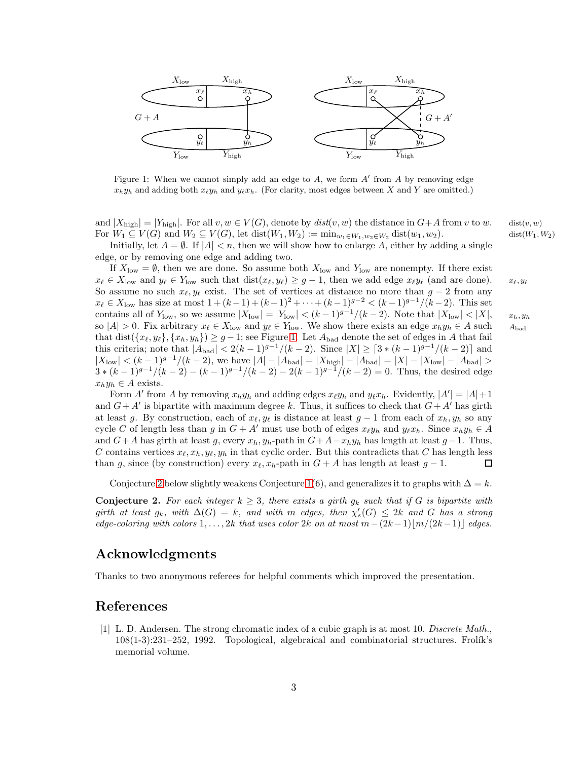<span id="page-2-1"></span>

Figure 1: When we cannot simply add an edge to  $A$ , we form  $A'$  from  $A$  by removing edge  $x_h y_h$  and adding both  $x_\ell y_h$  and  $y_\ell x_h$ . (For clarity, most edges between X and Y are omitted.)

and  $|X_{\text{high}}| = |Y_{\text{high}}|$ . For all  $v, w \in V(G)$ , denote by  $dist(v, w)$  the distance in  $G+A$  from v to w. dist $(v, w)$ For  $W_1 \subseteq V(G)$  and  $W_2 \subseteq V(G)$ , let  $dist(W_1, W_2) := min_{w_1 \in W_1, w_2 \in W_2} dist(w_1, w_2)$ . dist $(W_1, W_2)$ 

Initially, let  $A = \emptyset$ . If  $|A| < n$ , then we will show how to enlarge A, either by adding a single edge, or by removing one edge and adding two.

If  $X_{\text{low}} = \emptyset$ , then we are done. So assume both  $X_{\text{low}}$  and  $Y_{\text{low}}$  are nonempty. If there exist  $x_{\ell} \in X_{\text{low}}$  and  $y_{\ell} \in Y_{\text{low}}$  such that  $\text{dist}(x_{\ell}, y_{\ell}) \geq g - 1$ , then we add edge  $x_{\ell}y_{\ell}$  (and are done).  $x_{\ell}, y_{\ell}$ So assume no such  $x_{\ell}, y_{\ell}$  exist. The set of vertices at distance no more than  $g - 2$  from any  $x_{\ell} \in X_{\text{low}}$  has size at most  $1 + (k-1) + (k-1)^2 + \cdots + (k-1)^{g-2} < (k-1)^{g-1}/(k-2)$ . This set contains all of  $Y_{\text{low}}$ , so we assume  $|X_{\text{low}}| = |Y_{\text{low}}| < (k-1)^{g-1}/(k-2)$ . Note that  $|X_{\text{low}}| < |X|$ , so  $|A| > 0$ . Fix arbitrary  $x_{\ell} \in X_{\text{low}}$  and  $y_{\ell} \in Y_{\text{low}}$ . We show there exists an edge  $x_h y_h \in A$  such that  $dist({x_\ell, y_\ell}, {x_h, y_h}) \ge g - 1$ ; see Figure [1.](#page-2-1) Let  $A_{bad}$  denote the set of edges in A that fail this criteria; note that  $|A_{bad}| < 2(k-1)^{g-1}/(k-2)$ . Since  $|X| \geq \lceil 3 * (k-1)^{g-1}/(k-2) \rceil$  and  $|X_{\text{low}}| < (k-1)^{g-1}/(k-2)$ , we have  $|A| - |A_{\text{bad}}| = |X_{\text{high}}| - |A_{\text{bad}}| = |X| - |X_{\text{low}}| - |A_{\text{bad}}| >$  $3*(k-1)^{g-1}/(k-2)-(k-1)^{g-1}/(k-2)-2(k-1)^{g-1}/(k-2)=0$ . Thus, the desired edge  $x_h y_h \in A$  exists.

Form A' from A by removing  $x_h y_h$  and adding edges  $x_\ell y_h$  and  $y_\ell x_h$ . Evidently,  $|A'| = |A| + 1$ and  $G + A'$  is bipartite with maximum degree k. Thus, it suffices to check that  $G + A'$  has girth at least g. By construction, each of  $x_{\ell}, y_{\ell}$  is distance at least  $g - 1$  from each of  $x_h, y_h$  so any cycle C of length less than g in  $G + A'$  must use both of edges  $x_{\ell}y_h$  and  $y_{\ell}x_h$ . Since  $x_hy_h \in A$ and  $G+A$  has girth at least g, every  $x_h$ ,  $y_h$ -path in  $G+A-x_hy_h$  has length at least  $g-1$ . Thus, C contains vertices  $x_{\ell}, x_h, y_{\ell}, y_h$  in that cyclic order. But this contradicts that C has length less than g, since (by construction) every  $x_{\ell}, x_h$ -path in  $G + A$  has length at least  $g - 1$ . 口

Conjecture [2](#page-2-2) below slightly weakens Conjecture [1\(](#page-0-0)6), and generalizes it to graphs with  $\Delta = k$ .

<span id="page-2-2"></span>**Conjecture 2.** For each integer  $k \geq 3$ , there exists a girth  $g_k$  such that if G is bipartite with girth at least  $g_k$ , with  $\Delta(G) = k$ , and with m edges, then  $\chi'_{s}(G) \leq 2k$  and G has a strong edge-coloring with colors  $1, \ldots, 2k$  that uses color 2k on at most  $m-(2k-1)\lfloor m/(2k-1)\rfloor$  edges.

# Acknowledgments

Thanks to two anonymous referees for helpful comments which improved the presentation.

### <span id="page-2-0"></span>References

[1] L. D. Andersen. The strong chromatic index of a cubic graph is at most 10. Discrete Math.,  $108(1-3):231-252$ , 1992. Topological, algebraical and combinatorial structures. Frolík's memorial volume.